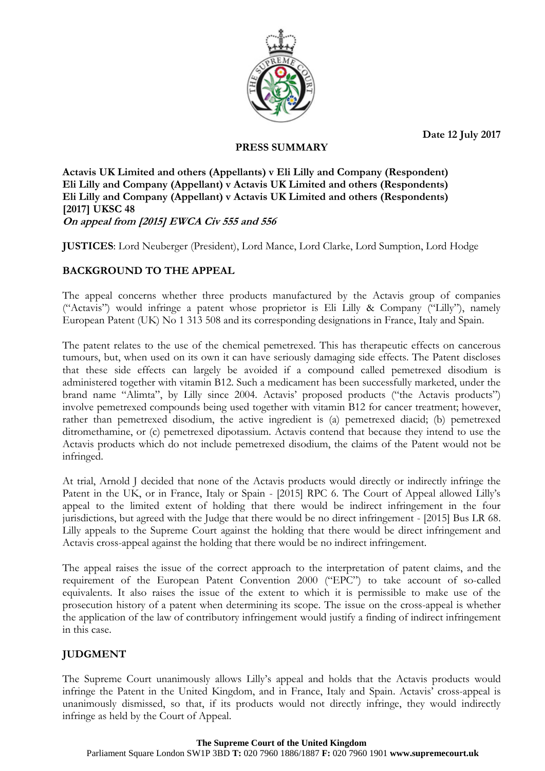**Date 12 July 2017**



## **PRESS SUMMARY**

**Actavis UK Limited and others (Appellants) v Eli Lilly and Company (Respondent) Eli Lilly and Company (Appellant) v Actavis UK Limited and others (Respondents) Eli Lilly and Company (Appellant) v Actavis UK Limited and others (Respondents) [2017] UKSC 48 On appeal from [2015] EWCA Civ 555 and 556**

**JUSTICES**: Lord Neuberger (President), Lord Mance, Lord Clarke, Lord Sumption, Lord Hodge

# **BACKGROUND TO THE APPEAL**

The appeal concerns whether three products manufactured by the Actavis group of companies ("Actavis") would infringe a patent whose proprietor is Eli Lilly & Company ("Lilly"), namely European Patent (UK) No 1 313 508 and its corresponding designations in France, Italy and Spain.

The patent relates to the use of the chemical pemetrexed. This has therapeutic effects on cancerous tumours, but, when used on its own it can have seriously damaging side effects. The Patent discloses that these side effects can largely be avoided if a compound called pemetrexed disodium is administered together with vitamin B12. Such a medicament has been successfully marketed, under the brand name "Alimta", by Lilly since 2004. Actavis' proposed products ("the Actavis products") involve pemetrexed compounds being used together with vitamin B12 for cancer treatment; however, rather than pemetrexed disodium, the active ingredient is (a) pemetrexed diacid; (b) pemetrexed ditromethamine, or (c) pemetrexed dipotassium. Actavis contend that because they intend to use the Actavis products which do not include pemetrexed disodium, the claims of the Patent would not be infringed.

At trial, Arnold J decided that none of the Actavis products would directly or indirectly infringe the Patent in the UK, or in France, Italy or Spain - [2015] RPC 6. The Court of Appeal allowed Lilly's appeal to the limited extent of holding that there would be indirect infringement in the four jurisdictions, but agreed with the Judge that there would be no direct infringement - [2015] Bus LR 68. Lilly appeals to the Supreme Court against the holding that there would be direct infringement and Actavis cross-appeal against the holding that there would be no indirect infringement.

The appeal raises the issue of the correct approach to the interpretation of patent claims, and the requirement of the European Patent Convention 2000 ("EPC") to take account of so-called equivalents. It also raises the issue of the extent to which it is permissible to make use of the prosecution history of a patent when determining its scope. The issue on the cross-appeal is whether the application of the law of contributory infringement would justify a finding of indirect infringement in this case.

# **JUDGMENT**

The Supreme Court unanimously allows Lilly's appeal and holds that the Actavis products would infringe the Patent in the United Kingdom, and in France, Italy and Spain. Actavis' cross-appeal is unanimously dismissed, so that, if its products would not directly infringe, they would indirectly infringe as held by the Court of Appeal.

## **The Supreme Court of the United Kingdom**

Parliament Square London SW1P 3BD **T:** 020 7960 1886/1887 **F:** 020 7960 1901 **www.supremecourt.uk**